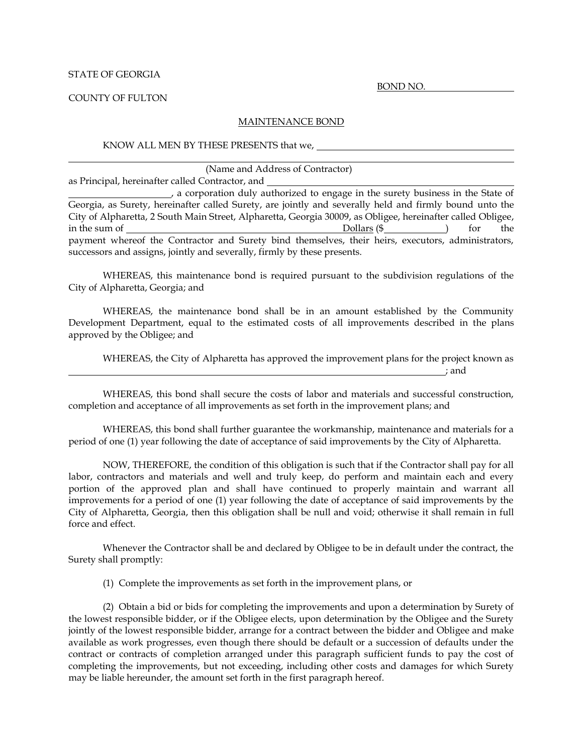## STATE OF GEORGIA

COUNTY OF FULTON

## MAINTENANCE BOND

KNOW ALL MEN BY THESE PRESENTS that we,

(Name and Address of Contractor)

as Principal, hereinafter called Contractor, and

, a corporation duly authorized to engage in the surety business in the State of Georgia, as Surety, hereinafter called Surety, are jointly and severally held and firmly bound unto the City of Alpharetta, 2 South Main Street, Alpharetta, Georgia 30009, as Obligee, hereinafter called Obligee, in the sum of the sum of the sum of the sum of the sum of the sum of the sum of the sum of the sum of the sum of the sum of the sum of the sum of the sum of the sum of the sum of the sum of the sum of the sum of the sum of payment whereof the Contractor and Surety bind themselves, their heirs, executors, administrators, successors and assigns, jointly and severally, firmly by these presents.

WHEREAS, this maintenance bond is required pursuant to the subdivision regulations of the City of Alpharetta, Georgia; and

WHEREAS, the maintenance bond shall be in an amount established by the Community Development Department, equal to the estimated costs of all improvements described in the plans approved by the Obligee; and

WHEREAS, the City of Alpharetta has approved the improvement plans for the project known as ; and

WHEREAS, this bond shall secure the costs of labor and materials and successful construction, completion and acceptance of all improvements as set forth in the improvement plans; and

WHEREAS, this bond shall further guarantee the workmanship, maintenance and materials for a period of one (1) year following the date of acceptance of said improvements by the City of Alpharetta.

NOW, THEREFORE, the condition of this obligation is such that if the Contractor shall pay for all labor, contractors and materials and well and truly keep, do perform and maintain each and every portion of the approved plan and shall have continued to properly maintain and warrant all improvements for a period of one (1) year following the date of acceptance of said improvements by the City of Alpharetta, Georgia, then this obligation shall be null and void; otherwise it shall remain in full force and effect.

Whenever the Contractor shall be and declared by Obligee to be in default under the contract, the Surety shall promptly:

(1) Complete the improvements as set forth in the improvement plans, or

(2) Obtain a bid or bids for completing the improvements and upon a determination by Surety of the lowest responsible bidder, or if the Obligee elects, upon determination by the Obligee and the Surety jointly of the lowest responsible bidder, arrange for a contract between the bidder and Obligee and make available as work progresses, even though there should be default or a succession of defaults under the contract or contracts of completion arranged under this paragraph sufficient funds to pay the cost of completing the improvements, but not exceeding, including other costs and damages for which Surety may be liable hereunder, the amount set forth in the first paragraph hereof.

BOND NO.